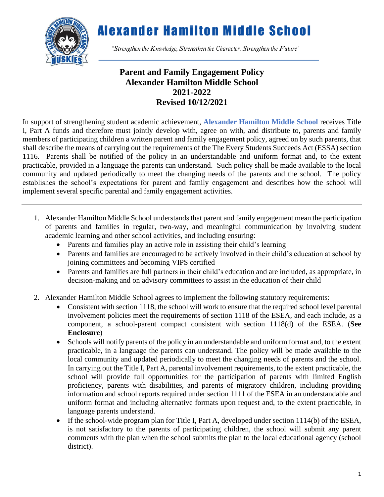

*"Strengthen the Knowledge, Strengthen the Character, Strengthen the Future"*

### **Parent and Family Engagement Policy Alexander Hamilton Middle School 2021-2022 Revised 10/12/2021**

In support of strengthening student academic achievement, **Alexander Hamilton Middle School** receives Title I, Part A funds and therefore must jointly develop with, agree on with, and distribute to, parents and family members of participating children a written parent and family engagement policy, agreed on by such parents, that shall describe the means of carrying out the requirements of the The Every Students Succeeds Act (ESSA) section 1116. Parents shall be notified of the policy in an understandable and uniform format and, to the extent practicable, provided in a language the parents can understand. Such policy shall be made available to the local community and updated periodically to meet the changing needs of the parents and the school. The policy establishes the school's expectations for parent and family engagement and describes how the school will implement several specific parental and family engagement activities.

- 1. Alexander Hamilton Middle School understands that parent and family engagement mean the participation of parents and families in regular, two-way, and meaningful communication by involving student academic learning and other school activities, and including ensuring:
	- Parents and families play an active role in assisting their child's learning
	- Parents and families are encouraged to be actively involved in their child's education at school by joining committees and becoming VIPS certified
	- Parents and families are full partners in their child's education and are included, as appropriate, in decision-making and on advisory committees to assist in the education of their child
- 2. Alexander Hamilton Middle School agrees to implement the following statutory requirements:
	- Consistent with section 1118, the school will work to ensure that the required school level parental involvement policies meet the requirements of section 1118 of the ESEA, and each include, as a component, a school-parent compact consistent with section 1118(d) of the ESEA. (**See Enclosure**)
	- Schools will notify parents of the policy in an understandable and uniform format and, to the extent practicable, in a language the parents can understand. The policy will be made available to the local community and updated periodically to meet the changing needs of parents and the school. In carrying out the Title I, Part A, parental involvement requirements, to the extent practicable, the school will provide full opportunities for the participation of parents with limited English proficiency, parents with disabilities, and parents of migratory children, including providing information and school reports required under section 1111 of the ESEA in an understandable and uniform format and including alternative formats upon request and, to the extent practicable, in language parents understand.
	- If the school-wide program plan for Title I, Part A, developed under section 1114(b) of the ESEA, is not satisfactory to the parents of participating children, the school will submit any parent comments with the plan when the school submits the plan to the local educational agency (school district).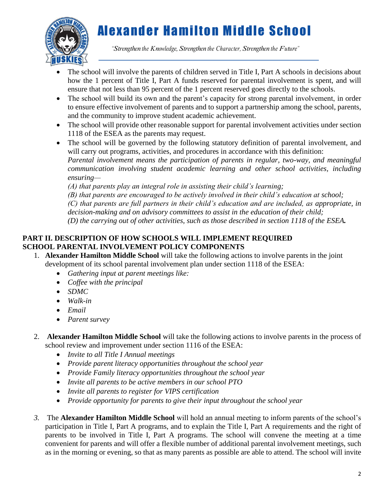

*"Strengthen the Knowledge, Strengthen the Character, Strengthen the Future"*

- The school will involve the parents of children served in Title I, Part A schools in decisions about how the 1 percent of Title I, Part A funds reserved for parental involvement is spent, and will ensure that not less than 95 percent of the 1 percent reserved goes directly to the schools.
- The school will build its own and the parent's capacity for strong parental involvement, in order to ensure effective involvement of parents and to support a partnership among the school, parents, and the community to improve student academic achievement.
- The school will provide other reasonable support for parental involvement activities under section 1118 of the ESEA as the parents may request.
- The school will be governed by the following statutory definition of parental involvement, and will carry out programs, activities, and procedures in accordance with this definition: *Parental involvement means the participation of parents in regular, two-way, and meaningful communication involving student academic learning and other school activities, including ensuring—*

*(A) that parents play an integral role in assisting their child's learning;*

*(B) that parents are encouraged to be actively involved in their child's education at school;*

*(C) that parents are full partners in their child's education and are included, as appropriate, in decision-making and on advisory committees to assist in the education of their child;*

*(D) the carrying out of other activities, such as those described in section 1118 of the ESEA.*

#### **PART II. DESCRIPTION OF HOW SCHOOLS WILL IMPLEMENT REQUIRED SCHOOL PARENTAL INVOLVEMENT POLICY COMPONENTS**

- 1. **Alexander Hamilton Middle School** will take the following actions to involve parents in the joint development of its school parental involvement plan under section 1118 of the ESEA:
	- *Gathering input at parent meetings like:*
	- *Coffee with the principal*
	- *SDMC*
	- *Walk-in*
	- *Email*
	- *Parent survey*
- 2. **Alexander Hamilton Middle School** will take the following actions to involve parents in the process of school review and improvement under section 1116 of the ESEA:
	- *Invite to all Title I Annual meetings*
	- *Provide parent literacy opportunities throughout the school year*
	- *Provide Family literacy opportunities throughout the school year*
	- *Invite all parents to be active members in our school PTO*
	- *Invite all parents to register for VIPS certification*
	- *Provide opportunity for parents to give their input throughout the school year*
- *3.* The **Alexander Hamilton Middle School** will hold an annual meeting to inform parents of the school's participation in Title I, Part A programs, and to explain the Title I, Part A requirements and the right of parents to be involved in Title I, Part A programs. The school will convene the meeting at a time convenient for parents and will offer a flexible number of additional parental involvement meetings, such as in the morning or evening, so that as many parents as possible are able to attend. The school will invite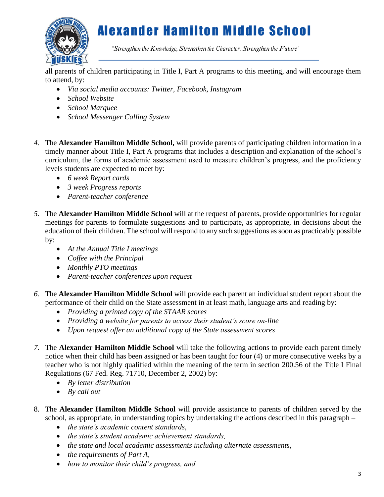

*"Strengthen the Knowledge, Strengthen the Character, Strengthen the Future"*

all parents of children participating in Title I, Part A programs to this meeting, and will encourage them to attend, by:

- *Via social media accounts: Twitter, Facebook, Instagram*
- *School Website*
- *School Marquee*
- *School Messenger Calling System*
- *4.* The **Alexander Hamilton Middle School,** will provide parents of participating children information in a timely manner about Title I, Part A programs that includes a description and explanation of the school's curriculum, the forms of academic assessment used to measure children's progress, and the proficiency levels students are expected to meet by:
	- *6 week Report cards*
	- *3 week Progress reports*
	- *Parent-teacher conference*
- *5.* The **Alexander Hamilton Middle School** will at the request of parents, provide opportunities for regular meetings for parents to formulate suggestions and to participate, as appropriate, in decisions about the education of their children. The school will respond to any such suggestions as soon as practicably possible by:
	- *At the Annual Title I meetings*
	- *Coffee with the Principal*
	- *Monthly PTO meetings*
	- *Parent-teacher conferences upon request*
- *6.* The **Alexander Hamilton Middle School** will provide each parent an individual student report about the performance of their child on the State assessment in at least math, language arts and reading by:
	- *Providing a printed copy of the STAAR scores*
	- *Providing a website for parents to access their student's score on-line*
	- *Upon request offer an additional copy of the State assessment scores*
- *7.* The **Alexander Hamilton Middle School** will take the following actions to provide each parent timely notice when their child has been assigned or has been taught for four (4) or more consecutive weeks by a teacher who is not highly qualified within the meaning of the term in section 200.56 of the Title I Final Regulations (67 Fed. Reg. 71710, December 2, 2002) by:
	- *By letter distribution*
	- *By call out*
- 8. The **Alexander Hamilton Middle School** will provide assistance to parents of children served by the school, as appropriate, in understanding topics by undertaking the actions described in this paragraph –
	- *the state's academic content standards,*
	- *the state's student academic achievement standards,*
	- *the state and local academic assessments including alternate assessments,*
	- *the requirements of Part A,*
	- *how to monitor their child's progress, and*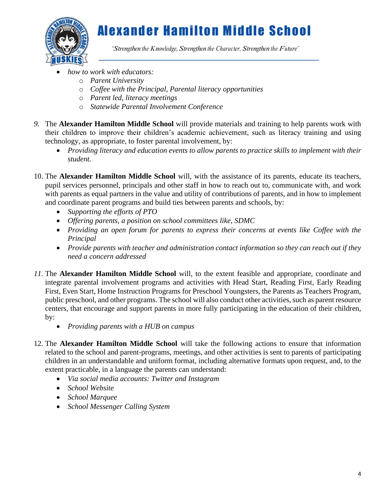

*"Strengthen the Knowledge, Strengthen the Character, Strengthen the Future"*

- *how to work with educators:*
	- o *Parent University*
	- o *Coffee with the Principal, Parental literacy opportunities*
	- o *Parent led, literacy meetings*
	- o *Statewide Parental Involvement Conference*
- *9.* The **Alexander Hamilton Middle School** will provide materials and training to help parents work with their children to improve their children's academic achievement, such as literacy training and using technology, as appropriate, to foster parental involvement, by:
	- *Providing literacy and education events to allow parents to practice skills to implement with their student.*
- 10. The **Alexander Hamilton Middle School** will, with the assistance of its parents, educate its teachers, pupil services personnel, principals and other staff in how to reach out to, communicate with, and work with parents as equal partners in the value and utility of contributions of parents, and in how to implement and coordinate parent programs and build ties between parents and schools, by:
	- *Supporting the efforts of PTO*
	- *Offering parents, a position on school committees like, SDMC*
	- *Providing an open forum for parents to express their concerns at events like Coffee with the Principal*
	- *Provide parents with teacher and administration contact information so they can reach out if they need a concern addressed*
- *11.* The **Alexander Hamilton Middle School** will, to the extent feasible and appropriate, coordinate and integrate parental involvement programs and activities with Head Start, Reading First, Early Reading First, Even Start, Home Instruction Programs for Preschool Youngsters, the Parents as Teachers Program, public preschool, and other programs. The school will also conduct other activities, such as parent resource centers, that encourage and support parents in more fully participating in the education of their children, by:
	- *Providing parents with a HUB on campus*
- 12. The **Alexander Hamilton Middle School** will take the following actions to ensure that information related to the school and parent-programs, meetings, and other activities is sent to parents of participating children in an understandable and uniform format, including alternative formats upon request, and, to the extent practicable, in a language the parents can understand:
	- *Via social media accounts: Twitter and Instagram*
	- *School Website*
	- *School Marquee*
	- *School Messenger Calling System*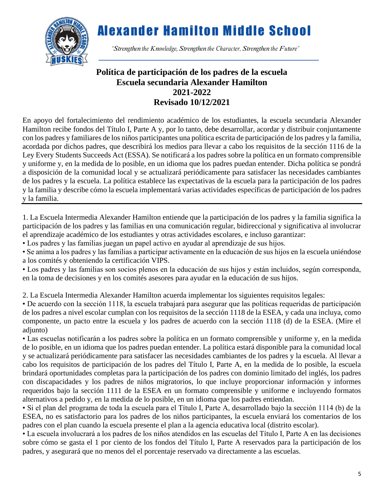

*"Strengthen the Knowledge, Strengthen the Character, Strengthen the Future"*

### **Política de participación de los padres de la escuela Escuela secundaria Alexander Hamilton 2021-2022 Revisado 10/12/2021**

En apoyo del fortalecimiento del rendimiento académico de los estudiantes, la escuela secundaria Alexander Hamilton recibe fondos del Título I, Parte A y, por lo tanto, debe desarrollar, acordar y distribuir conjuntamente con los padres y familiares de los niños participantes una política escrita de participación de los padres y la familia, acordada por dichos padres, que describirá los medios para llevar a cabo los requisitos de la sección 1116 de la Ley Every Students Succeeds Act (ESSA). Se notificará a los padres sobre la política en un formato comprensible y uniforme y, en la medida de lo posible, en un idioma que los padres puedan entender. Dicha política se pondrá a disposición de la comunidad local y se actualizará periódicamente para satisfacer las necesidades cambiantes de los padres y la escuela. La política establece las expectativas de la escuela para la participación de los padres y la familia y describe cómo la escuela implementará varias actividades específicas de participación de los padres y la familia.

1. La Escuela Intermedia Alexander Hamilton entiende que la participación de los padres y la familia significa la participación de los padres y las familias en una comunicación regular, bidireccional y significativa al involucrar el aprendizaje académico de los estudiantes y otras actividades escolares, e incluso garantizar:

• Los padres y las familias juegan un papel activo en ayudar al aprendizaje de sus hijos.

• Se anima a los padres y las familias a participar activamente en la educación de sus hijos en la escuela uniéndose a los comités y obteniendo la certificación VIPS.

• Los padres y las familias son socios plenos en la educación de sus hijos y están incluidos, según corresponda, en la toma de decisiones y en los comités asesores para ayudar en la educación de sus hijos.

2. La Escuela Intermedia Alexander Hamilton acuerda implementar los siguientes requisitos legales:

• De acuerdo con la sección 1118, la escuela trabajará para asegurar que las políticas requeridas de participación de los padres a nivel escolar cumplan con los requisitos de la sección 1118 de la ESEA, y cada una incluya, como componente, un pacto entre la escuela y los padres de acuerdo con la sección 1118 (d) de la ESEA. (Mire el adjunto)

• Las escuelas notificarán a los padres sobre la política en un formato comprensible y uniforme y, en la medida de lo posible, en un idioma que los padres puedan entender. La política estará disponible para la comunidad local y se actualizará periódicamente para satisfacer las necesidades cambiantes de los padres y la escuela. Al llevar a cabo los requisitos de participación de los padres del Título I, Parte A, en la medida de lo posible, la escuela brindará oportunidades completas para la participación de los padres con dominio limitado del inglés, los padres con discapacidades y los padres de niños migratorios, lo que incluye proporcionar información y informes requeridos bajo la sección 1111 de la ESEA en un formato comprensible y uniforme e incluyendo formatos alternativos a pedido y, en la medida de lo posible, en un idioma que los padres entiendan.

• Si el plan del programa de toda la escuela para el Título I, Parte A, desarrollado bajo la sección 1114 (b) de la ESEA, no es satisfactorio para los padres de los niños participantes, la escuela enviará los comentarios de los padres con el plan cuando la escuela presente el plan a la agencia educativa local (distrito escolar).

• La escuela involucrará a los padres de los niños atendidos en las escuelas del Título I, Parte A en las decisiones sobre cómo se gasta el 1 por ciento de los fondos del Título I, Parte A reservados para la participación de los padres, y asegurará que no menos del el porcentaje reservado va directamente a las escuelas.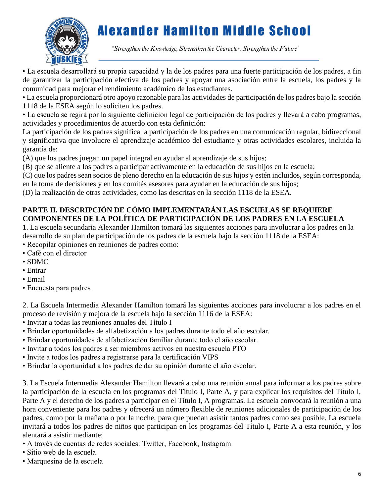

*"Strengthen the Knowledge, Strengthen the Character, Strengthen the Future"*

· La escuela desarrollará su propia capacidad y la de los padres para una fuerte participación de los padres, a fin de garantizar la participación efectiva de los padres y apoyar una asociación entre la escuela, los padres y la comunidad para mejorar el rendimiento académico de los estudiantes.

• La escuela proporcionará otro apoyo razonable para las actividades de participación de los padres bajo la sección 1118 de la ESEA según lo soliciten los padres.

• La escuela se regirá por la siguiente definición legal de participación de los padres y llevará a cabo programas, actividades y procedimientos de acuerdo con esta definición:

La participación de los padres significa la participación de los padres en una comunicación regular, bidireccional y significativa que involucre el aprendizaje académico del estudiante y otras actividades escolares, incluida la garantía de:

(A) que los padres juegan un papel integral en ayudar al aprendizaje de sus hijos;

(B) que se aliente a los padres a participar activamente en la educación de sus hijos en la escuela;

(C) que los padres sean socios de pleno derecho en la educación de sus hijos y estén incluidos, según corresponda, en la toma de decisiones y en los comités asesores para ayudar en la educación de sus hijos;

(D) la realización de otras actividades, como las descritas en la sección 1118 de la ESEA.

#### **PARTE II. DESCRIPCIÓN DE CÓMO IMPLEMENTARÁN LAS ESCUELAS SE REQUIERE COMPONENTES DE LA POLÍTICA DE PARTICIPACIÓN DE LOS PADRES EN LA ESCUELA**

1. La escuela secundaria Alexander Hamilton tomará las siguientes acciones para involucrar a los padres en la desarrollo de su plan de participación de los padres de la escuela bajo la sección 1118 de la ESEA:

- Recopilar opiniones en reuniones de padres como:
- Café con el director
- SDMC
- Entrar
- Email
- Encuesta para padres

2. La Escuela Intermedia Alexander Hamilton tomará las siguientes acciones para involucrar a los padres en el proceso de revisión y mejora de la escuela bajo la sección 1116 de la ESEA:

- Invitar a todas las reuniones anuales del Título I
- Brindar oportunidades de alfabetización a los padres durante todo el año escolar.
- Brindar oportunidades de alfabetización familiar durante todo el año escolar.
- Invitar a todos los padres a ser miembros activos en nuestra escuela PTO
- Invite a todos los padres a registrarse para la certificación VIPS
- Brindar la oportunidad a los padres de dar su opinión durante el año escolar.

3. La Escuela Intermedia Alexander Hamilton llevará a cabo una reunión anual para informar a los padres sobre la participación de la escuela en los programas del Título I, Parte A, y para explicar los requisitos del Título I, Parte A y el derecho de los padres a participar en el Título I, A programas. La escuela convocará la reunión a una hora conveniente para los padres y ofrecerá un número flexible de reuniones adicionales de participación de los padres, como por la mañana o por la noche, para que puedan asistir tantos padres como sea posible. La escuela invitará a todos los padres de niños que participan en los programas del Título I, Parte A a esta reunión, y los alentará a asistir mediante:

- A través de cuentas de redes sociales: Twitter, Facebook, Instagram
- Sitio web de la escuela
- Marquesina de la escuela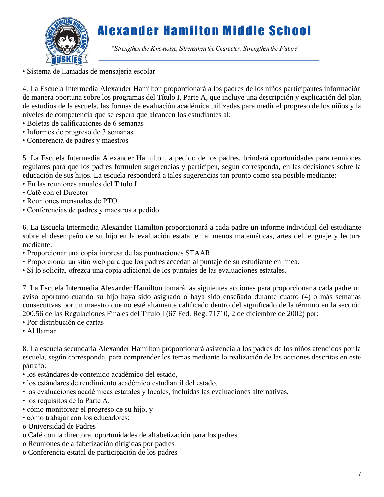

*"Strengthen the Knowledge, Strengthen the Character, Strengthen the Future"*

• Sistema de llamadas de mensajería escolar 

4. La Escuela Intermedia Alexander Hamilton proporcionará a los padres de los niños participantes información de manera oportuna sobre los programas del Título I, Parte A, que incluye una descripción y explicación del plan de estudios de la escuela, las formas de evaluación académica utilizadas para medir el progreso de los niños y la niveles de competencia que se espera que alcancen los estudiantes al:

- Boletas de calificaciones de 6 semanas
- Informes de progreso de 3 semanas
- Conferencia de padres y maestros

5. La Escuela Intermedia Alexander Hamilton, a pedido de los padres, brindará oportunidades para reuniones regulares para que los padres formulen sugerencias y participen, según corresponda, en las decisiones sobre la educación de sus hijos. La escuela responderá a tales sugerencias tan pronto como sea posible mediante:

- En las reuniones anuales del Título I
- Café con el Director
- Reuniones mensuales de PTO
- Conferencias de padres y maestros a pedido

6. La Escuela Intermedia Alexander Hamilton proporcionará a cada padre un informe individual del estudiante sobre el desempeño de su hijo en la evaluación estatal en al menos matemáticas, artes del lenguaje y lectura mediante:

- Proporcionar una copia impresa de las puntuaciones STAAR
- Proporcionar un sitio web para que los padres accedan al puntaje de su estudiante en línea.
- Si lo solicita, ofrezca una copia adicional de los puntajes de las evaluaciones estatales.

7. La Escuela Intermedia Alexander Hamilton tomará las siguientes acciones para proporcionar a cada padre un aviso oportuno cuando su hijo haya sido asignado o haya sido enseñado durante cuatro (4) o más semanas consecutivas por un maestro que no esté altamente calificado dentro del significado de la término en la sección 200.56 de las Regulaciones Finales del Título I (67 Fed. Reg. 71710, 2 de diciembre de 2002) por:

- Por distribución de cartas
- Al llamar

8. La escuela secundaria Alexander Hamilton proporcionará asistencia a los padres de los niños atendidos por la escuela, según corresponda, para comprender los temas mediante la realización de las acciones descritas en este párrafo:

- los estándares de contenido académico del estado,
- los estándares de rendimiento académico estudiantil del estado,
- las evaluaciones académicas estatales y locales, incluidas las evaluaciones alternativas,
- los requisitos de la Parte A,
- cómo monitorear el progreso de su hijo, y
- cómo trabajar con los educadores:
- o Universidad de Padres
- o Café con la directora, oportunidades de alfabetización para los padres
- o Reuniones de alfabetización dirigidas por padres
- o Conferencia estatal de participación de los padres